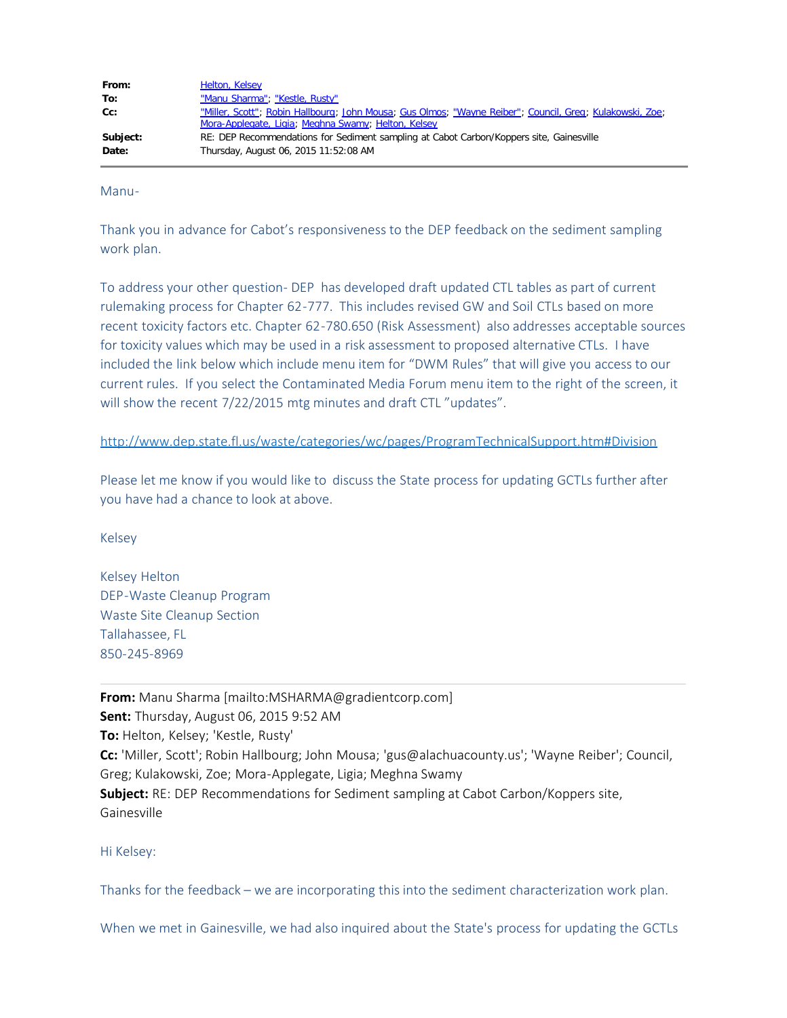| From:    | Helton, Kelsey                                                                                           |
|----------|----------------------------------------------------------------------------------------------------------|
| To:      | "Manu Sharma"; "Kestle, Rusty"                                                                           |
| Cc:      | "Miller, Scott"; Robin Hallbourg; John Mousa; Gus Olmos; "Wayne Reiber"; Council, Greg; Kulakowski, Zoe; |
|          | Mora-Applegate, Ligia; Meghna Swamy; Helton, Kelsey                                                      |
| Subject: | RE: DEP Recommendations for Sediment sampling at Cabot Carbon/Koppers site, Gainesville                  |
| Date:    | Thursday, August 06, 2015 11:52:08 AM                                                                    |

Manu-

Thank you in advance for Cabot's responsiveness to the DEP feedback on the sediment sampling work plan.

To address your other question- DEP has developed draft updated CTL tables as part of current rulemaking process for Chapter 62-777. This includes revised GW and Soil CTLs based on more recent toxicity factors etc. Chapter 62-780.650 (Risk Assessment) also addresses acceptable sources for toxicity values which may be used in a risk assessment to proposed alternative CTLs. I have included the link below which include menu item for "DWM Rules" that will give you access to our current rules. If you select the Contaminated Media Forum menu item to the right of the screen, it will show the recent 7/22/2015 mtg minutes and draft CTL "updates".

<http://www.dep.state.fl.us/waste/categories/wc/pages/ProgramTechnicalSupport.htm#Division>

Please let me know if you would like to discuss the State process for updating GCTLs further after you have had a chance to look at above.

Kelsey

Kelsey Helton DEP-Waste Cleanup Program Waste Site Cleanup Section Tallahassee, FL 850-245-8969

**From:** Manu Sharma [mailto:MSHARMA@gradientcorp.com] **Sent:** Thursday, August 06, 2015 9:52 AM **To:** Helton, Kelsey; 'Kestle, Rusty' **Cc:** 'Miller, Scott'; Robin Hallbourg; John Mousa; 'gus@alachuacounty.us'; 'Wayne Reiber'; Council, Greg; Kulakowski, Zoe; Mora-Applegate, Ligia; Meghna Swamy **Subject:** RE: DEP Recommendations for Sediment sampling at Cabot Carbon/Koppers site, Gainesville

Hi Kelsey:

Thanks for the feedback – we are incorporating this into the sediment characterization work plan.

When we met in Gainesville, we had also inquired about the State's process for updating the GCTLs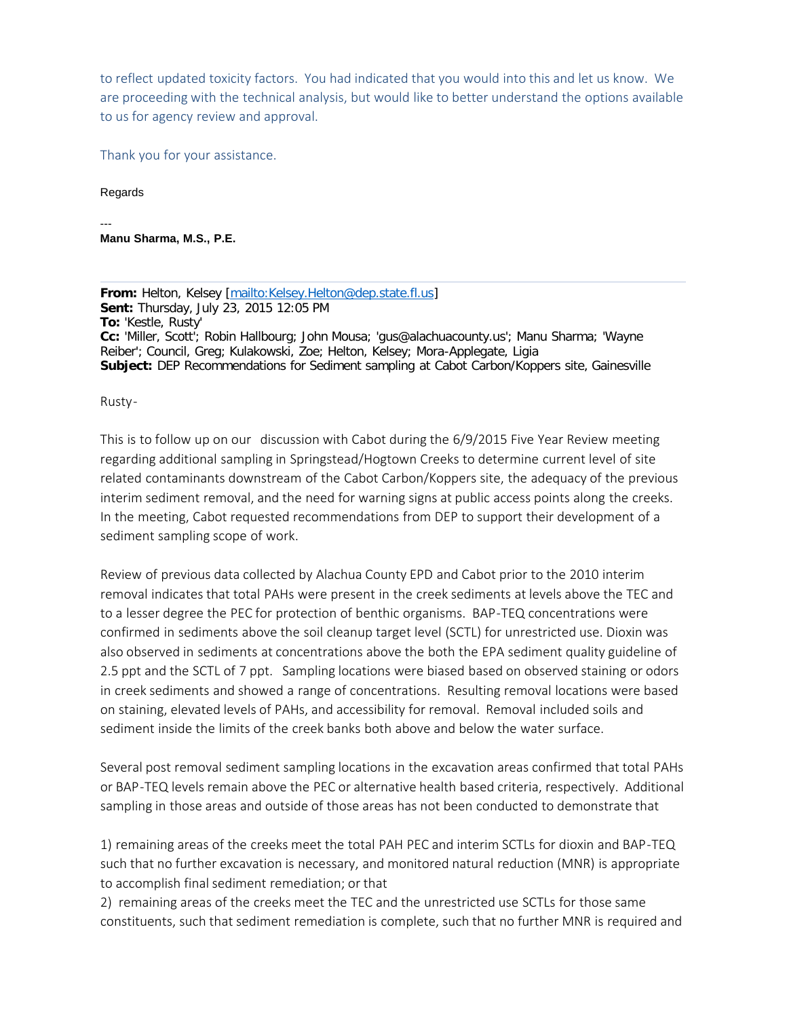to reflect updated toxicity factors. You had indicated that you would into this and let us know. We are proceeding with the technical analysis, but would like to better understand the options available to us for agency review and approval.

Thank you for your assistance.

Regards

--- **Manu Sharma, M.S., P.E.**

**From:** Helton, Kelsey [\[mailto:Kelsey.Helton@dep.state.fl.us](mailto:Kelsey.Helton@dep.state.fl.us)] **Sent:** Thursday, July 23, 2015 12:05 PM **To:** 'Kestle, Rusty' **Cc:** 'Miller, Scott'; Robin Hallbourg; John Mousa; 'gus@alachuacounty.us'; Manu Sharma; 'Wayne Reiber'; Council, Greg; Kulakowski, Zoe; Helton, Kelsey; Mora-Applegate, Ligia **Subject:** DEP Recommendations for Sediment sampling at Cabot Carbon/Koppers site, Gainesville

Rusty-

This is to follow up on our discussion with Cabot during the 6/9/2015 Five Year Review meeting regarding additional sampling in Springstead/Hogtown Creeks to determine current level of site related contaminants downstream of the Cabot Carbon/Koppers site, the adequacy of the previous interim sediment removal, and the need for warning signs at public access points along the creeks. In the meeting, Cabot requested recommendations from DEP to support their development of a sediment sampling scope of work.

Review of previous data collected by Alachua County EPD and Cabot prior to the 2010 interim removal indicates that total PAHs were present in the creek sediments at levels above the TEC and to a lesser degree the PEC for protection of benthic organisms. BAP-TEQ concentrations were confirmed in sediments above the soil cleanup target level (SCTL) for unrestricted use. Dioxin was also observed in sediments at concentrations above the both the EPA sediment quality guideline of 2.5 ppt and the SCTL of 7 ppt. Sampling locations were biased based on observed staining or odors in creek sediments and showed a range of concentrations. Resulting removal locations were based on staining, elevated levels of PAHs, and accessibility for removal. Removal included soils and sediment inside the limits of the creek banks both above and below the water surface.

Several post removal sediment sampling locations in the excavation areas confirmed that total PAHs or BAP-TEQ levels remain above the PEC or alternative health based criteria, respectively. Additional sampling in those areas and outside of those areas has not been conducted to demonstrate that

1) remaining areas of the creeks meet the total PAH PEC and interim SCTLs for dioxin and BAP-TEQ such that no further excavation is necessary, and monitored natural reduction (MNR) is appropriate to accomplish final sediment remediation; or that

2) remaining areas of the creeks meet the TEC and the unrestricted use SCTLs for those same constituents, such that sediment remediation is complete, such that no further MNR is required and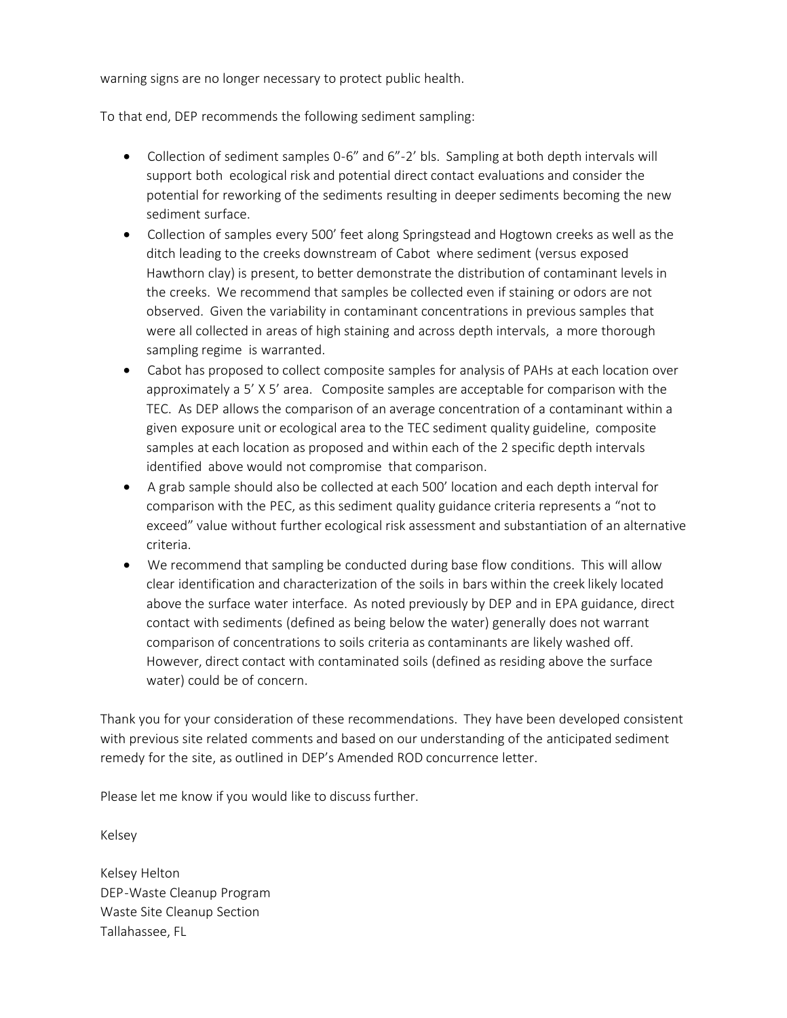warning signs are no longer necessary to protect public health.

To that end, DEP recommends the following sediment sampling:

- Collection of sediment samples 0-6" and 6"-2' bls. Sampling at both depth intervals will support both ecological risk and potential direct contact evaluations and consider the potential for reworking of the sediments resulting in deeper sediments becoming the new sediment surface.
- · Collection of samples every 500' feet along Springstead and Hogtown creeks as well as the ditch leading to the creeks downstream of Cabot where sediment (versus exposed Hawthorn clay) is present, to better demonstrate the distribution of contaminant levels in the creeks. We recommend that samples be collected even if staining or odors are not observed. Given the variability in contaminant concentrations in previous samples that were all collected in areas of high staining and across depth intervals, a more thorough sampling regime is warranted.
- Cabot has proposed to collect composite samples for analysis of PAHs at each location over approximately a 5' X 5' area. Composite samples are acceptable for comparison with the TEC. As DEP allows the comparison of an average concentration of a contaminant within a given exposure unit or ecological area to the TEC sediment quality guideline, composite samples at each location as proposed and within each of the 2 specific depth intervals identified above would not compromise that comparison.
- · A grab sample should also be collected at each 500' location and each depth interval for comparison with the PEC, as this sediment quality guidance criteria represents a "not to exceed" value without further ecological risk assessment and substantiation of an alternative criteria.
- We recommend that sampling be conducted during base flow conditions. This will allow clear identification and characterization of the soils in bars within the creek likely located above the surface water interface. As noted previously by DEP and in EPA guidance, direct contact with sediments (defined as being below the water) generally does not warrant comparison of concentrations to soils criteria as contaminants are likely washed off. However, direct contact with contaminated soils (defined as residing above the surface water) could be of concern.

Thank you for your consideration of these recommendations. They have been developed consistent with previous site related comments and based on our understanding of the anticipated sediment remedy for the site, as outlined in DEP's Amended ROD concurrence letter.

Please let me know if you would like to discuss further.

Kelsey

Kelsey Helton DEP-Waste Cleanup Program Waste Site Cleanup Section Tallahassee, FL